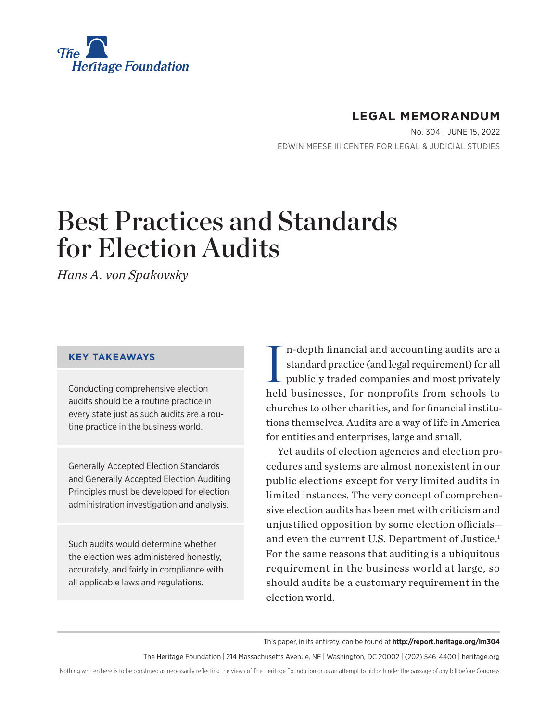<span id="page-0-0"></span>

# **LEGAL MEMORANDUM**

No. 304 | June 15, 2022 EDWIN MEESE III CENTER FOR LEGAL & JUDICIAL STUDIES

# Best Practices and Standards for Election Audits

*Hans A. von Spakovsky*

## **KEY TAKEAWAYS**

Conducting comprehensive election audits should be a routine practice in every state just as such audits are a routine practice in the business world.

Generally Accepted Election Standards and Generally Accepted Election Auditing Principles must be developed for election administration investigation and analysis.

Such audits would determine whether the election was administered honestly, accurately, and fairly in compliance with all applicable laws and regulations.

I n-depth financial and accounting audits are a standard practice (and legal requirement) for all publicly traded companies and most privately held businesses, for nonprofits from schools to churches to other charities, and for financial institutions themselves. Audits are a way of life in America for entities and enterprises, large and small.

Yet audits of election agencies and election procedures and systems are almost nonexistent in our public elections except for very limited audits in limited instances. The very concept of comprehensive election audits has been met with criticism and unjustified opposition by some election officials— and even the current U.S. Department of Justice.<sup>[1](#page-14-0)</sup> For the same reasons that auditing is a ubiquitous requirement in the business world at large, so should audits be a customary requirement in the election world.

This paper, in its entirety, can be found at **http://report.heritage.org/lm304**

The Heritage Foundation | 214 Massachusetts Avenue, NE | Washington, DC 20002 | (202) 546-4400 | heritage.org

Nothing written here is to be construed as necessarily reflecting the views of The Heritage Foundation or as an attempt to aid or hinder the passage of any bill before Congress.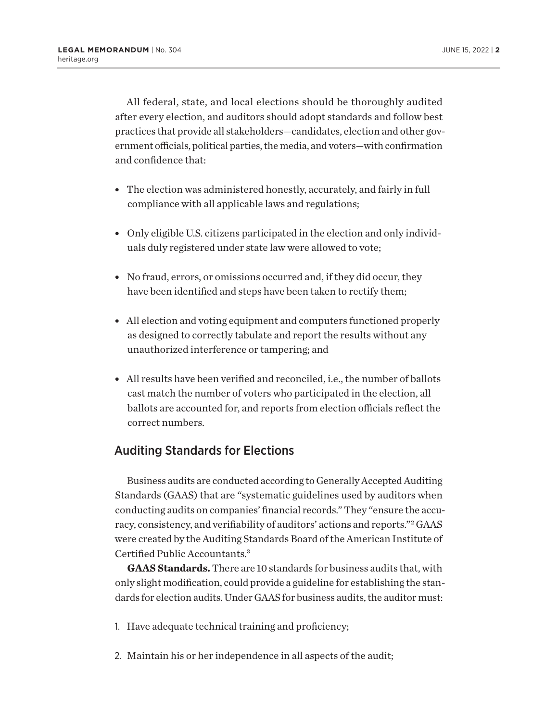<span id="page-1-0"></span>All federal, state, and local elections should be thoroughly audited after every election, and auditors should adopt standards and follow best practices that provide all stakeholders—candidates, election and other government officials, political parties, the media, and voters—with confirmation and confidence that:

- The election was administered honestly, accurately, and fairly in full compliance with all applicable laws and regulations;
- Only eligible U.S. citizens participated in the election and only individuals duly registered under state law were allowed to vote;
- No fraud, errors, or omissions occurred and, if they did occur, they have been identified and steps have been taken to rectify them;
- All election and voting equipment and computers functioned properly as designed to correctly tabulate and report the results without any unauthorized interference or tampering; and
- All results have been verified and reconciled, i.e., the number of ballots cast match the number of voters who participated in the election, all ballots are accounted for, and reports from election officials reflect the correct numbers.

# Auditing Standards for Elections

Business audits are conducted according to Generally Accepted Auditing Standards (GAAS) that are "systematic guidelines used by auditors when conducting audits on companies' financial records." They "ensure the accuracy, consistency, and verifiability of auditors' actions and reports."[2](#page-14-0) GAAS were created by the Auditing Standards Board of the American Institute of Certified Public Accountants.[3](#page-14-0)

**GAAS Standards.** There are 10 standards for business audits that, with only slight modification, could provide a guideline for establishing the standards for election audits. Under GAAS for business audits, the auditor must:

- 1. Have adequate technical training and proficiency;
- 2. Maintain his or her independence in all aspects of the audit;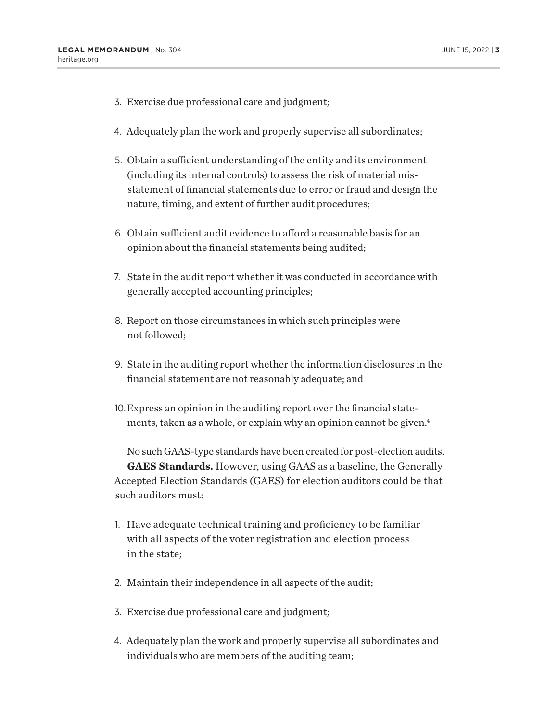- <span id="page-2-0"></span>3. Exercise due professional care and judgment;
- 4. Adequately plan the work and properly supervise all subordinates;
- 5. Obtain a sufficient understanding of the entity and its environment (including its internal controls) to assess the risk of material misstatement of financial statements due to error or fraud and design the nature, timing, and extent of further audit procedures;
- 6. Obtain sufficient audit evidence to afford a reasonable basis for an opinion about the financial statements being audited;
- 7. State in the audit report whether it was conducted in accordance with generally accepted accounting principles;
- 8. Report on those circumstances in which such principles were not followed;
- 9. State in the auditing report whether the information disclosures in the financial statement are not reasonably adequate; and
- 10.Express an opinion in the auditing report over the financial statements, taken as a whole, or explain why an opinion cannot be given.<sup>4</sup>

No such GAAS-type standards have been created for post-election audits. **GAES Standards.** However, using GAAS as a baseline, the Generally Accepted Election Standards (GAES) for election auditors could be that such auditors must:

- 1. Have adequate technical training and proficiency to be familiar with all aspects of the voter registration and election process in the state;
- 2. Maintain their independence in all aspects of the audit;
- 3. Exercise due professional care and judgment;
- 4. Adequately plan the work and properly supervise all subordinates and individuals who are members of the auditing team;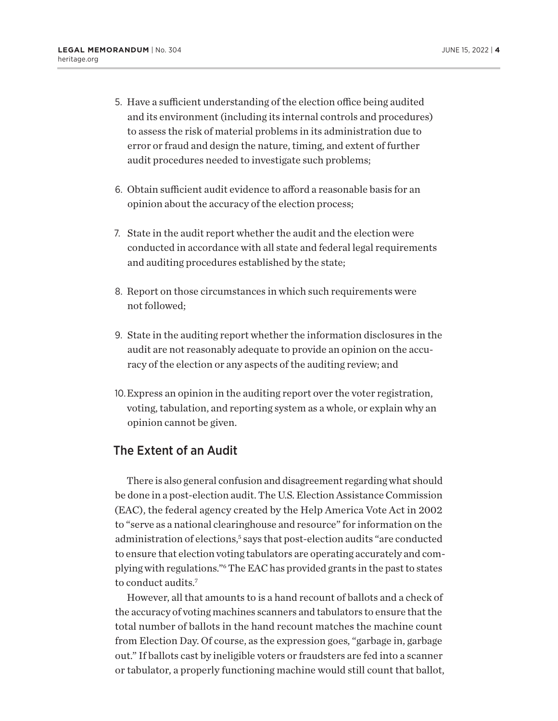- <span id="page-3-0"></span>5. Have a sufficient understanding of the election office being audited and its environment (including its internal controls and procedures) to assess the risk of material problems in its administration due to error or fraud and design the nature, timing, and extent of further audit procedures needed to investigate such problems;
- 6. Obtain sufficient audit evidence to afford a reasonable basis for an opinion about the accuracy of the election process;
- 7. State in the audit report whether the audit and the election were conducted in accordance with all state and federal legal requirements and auditing procedures established by the state;
- 8. Report on those circumstances in which such requirements were not followed;
- 9. State in the auditing report whether the information disclosures in the audit are not reasonably adequate to provide an opinion on the accuracy of the election or any aspects of the auditing review; and
- 10.Express an opinion in the auditing report over the voter registration, voting, tabulation, and reporting system as a whole, or explain why an opinion cannot be given.

## The Extent of an Audit

There is also general confusion and disagreement regarding what should be done in a post-election audit. The U.S. Election Assistance Commission (EAC), the federal agency created by the Help America Vote Act in 2002 to "serve as a national clearinghouse and resource" for information on the administration of elections,<sup>5</sup> says that post-election audits "are conducted to ensure that election voting tabulators are operating accurately and complying with regulations."[6](#page-14-0) The EAC has provided grants in the past to states to conduct audits.<sup>[7](#page-14-0)</sup>

However, all that amounts to is a hand recount of ballots and a check of the accuracy of voting machines scanners and tabulators to ensure that the total number of ballots in the hand recount matches the machine count from Election Day. Of course, as the expression goes, "garbage in, garbage out." If ballots cast by ineligible voters or fraudsters are fed into a scanner or tabulator, a properly functioning machine would still count that ballot,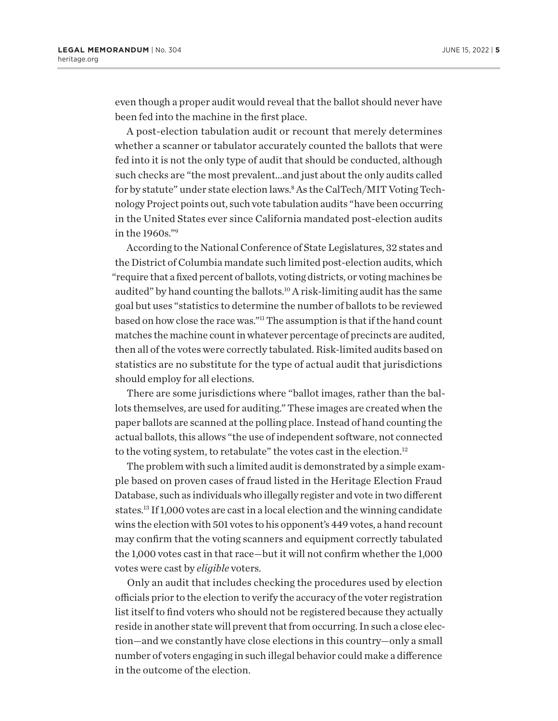<span id="page-4-0"></span>even though a proper audit would reveal that the ballot should never have been fed into the machine in the first place.

A post-election tabulation audit or recount that merely determines whether a scanner or tabulator accurately counted the ballots that were fed into it is not the only type of audit that should be conducted, although such checks are "the most prevalent…and just about the only audits called for by statute" under state election laws.[8](#page-14-0) As the CalTech/MIT Voting Technology Project points out, such vote tabulation audits "have been occurring in the United States ever since California mandated post-election audits in the 1960s.["9](#page-14-0)

According to the National Conference of State Legislatures, 32 states and the District of Columbia mandate such limited post-election audits, which "require that a fixed percent of ballots, voting districts, or voting machines be audited" by hand counting the ballots[.10](#page-14-0) A risk-limiting audit has the same goal but uses "statistics to determine the number of ballots to be reviewed based on how close the race was.["11](#page-14-0) The assumption is that if the hand count matches the machine count in whatever percentage of precincts are audited, then all of the votes were correctly tabulated. Risk-limited audits based on statistics are no substitute for the type of actual audit that jurisdictions should employ for all elections.

There are some jurisdictions where "ballot images, rather than the ballots themselves, are used for auditing." These images are created when the paper ballots are scanned at the polling place. Instead of hand counting the actual ballots, this allows "the use of independent software, not connected to the voting system, to retabulate" the votes cast in the election.<sup>12</sup>

The problem with such a limited audit is demonstrated by a simple example based on proven cases of fraud listed in the Heritage Election Fraud Database, such as individuals who illegally register and vote in two different states.[13](#page-14-0) If 1,000 votes are cast in a local election and the winning candidate wins the election with 501 votes to his opponent's 449 votes, a hand recount may confirm that the voting scanners and equipment correctly tabulated the 1,000 votes cast in that race—but it will not confirm whether the 1,000 votes were cast by *eligible* voters.

Only an audit that includes checking the procedures used by election officials prior to the election to verify the accuracy of the voter registration list itself to find voters who should not be registered because they actually reside in another state will prevent that from occurring. In such a close election—and we constantly have close elections in this country—only a small number of voters engaging in such illegal behavior could make a difference in the outcome of the election.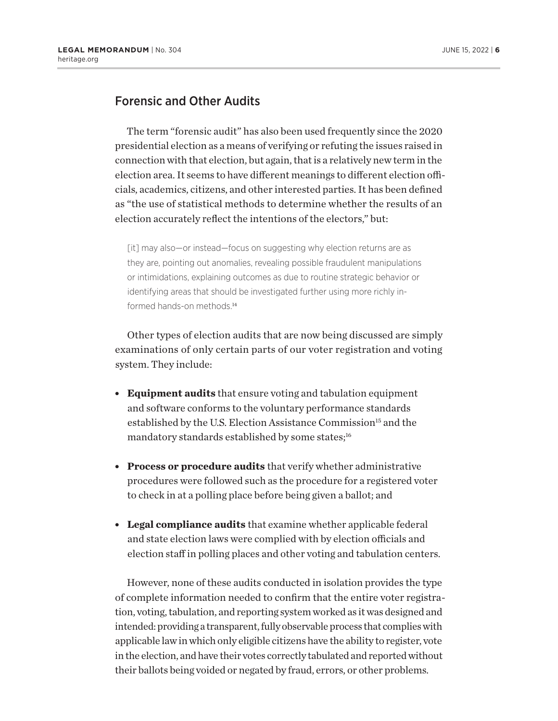## <span id="page-5-0"></span>Forensic and Other Audits

The term "forensic audit" has also been used frequently since the 2020 presidential election as a means of verifying or refuting the issues raised in connection with that election, but again, that is a relatively new term in the election area. It seems to have different meanings to different election officials, academics, citizens, and other interested parties. It has been defined as "the use of statistical methods to determine whether the results of an election accurately reflect the intentions of the electors," but:

[it] may also—or instead—focus on suggesting why election returns are as they are, pointing out anomalies, revealing possible fraudulent manipulations or intimidations, explaining outcomes as due to routine strategic behavior or identifying areas that should be investigated further using more richly in-formed hands-on methods<sup>[14](#page-14-0)</sup>

Other types of election audits that are now being discussed are simply examinations of only certain parts of our voter registration and voting system. They include:

- **Equipment audits** that ensure voting and tabulation equipment and software conforms to the voluntary performance standards established by the U.S. Election Assistance Commission<sup>15</sup> and the mandatory standards established by some states;<sup>16</sup>
- **Process or procedure audits** that verify whether administrative procedures were followed such as the procedure for a registered voter to check in at a polling place before being given a ballot; and
- **Legal compliance audits** that examine whether applicable federal and state election laws were complied with by election officials and election staff in polling places and other voting and tabulation centers.

However, none of these audits conducted in isolation provides the type of complete information needed to confirm that the entire voter registration, voting, tabulation, and reporting system worked as it was designed and intended: providing a transparent, fully observable process that complies with applicable law in which only eligible citizens have the ability to register, vote in the election, and have their votes correctly tabulated and reported without their ballots being voided or negated by fraud, errors, or other problems.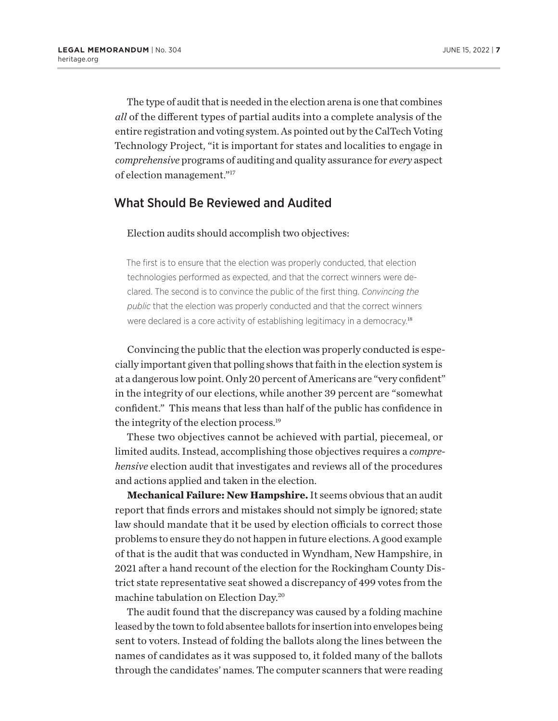<span id="page-6-0"></span>The type of audit that is needed in the election arena is one that combines *all* of the different types of partial audits into a complete analysis of the entire registration and voting system. As pointed out by the CalTech Voting Technology Project, "it is important for states and localities to engage in *comprehensive* programs of auditing and quality assurance for *every* aspect of election management.["17](#page-14-0)

## What Should Be Reviewed and Audited

#### Election audits should accomplish two objectives:

The first is to ensure that the election was properly conducted, that election technologies performed as expected, and that the correct winners were declared. The second is to convince the public of the first thing. *Convincing the public* that the election was properly conducted and that the correct winners were declared is a core activity of establishing legitimacy in a democracy.<sup>[18](#page-14-0)</sup>

Convincing the public that the election was properly conducted is especially important given that polling shows that faith in the election system is at a dangerous low point. Only 20 percent of Americans are "very confident" in the integrity of our elections, while another 39 percent are "somewhat confident." This means that less than half of the public has confidence in the integrity of the election process[.19](#page-14-0)

These two objectives cannot be achieved with partial, piecemeal, or limited audits. Instead, accomplishing those objectives requires a *comprehensive* election audit that investigates and reviews all of the procedures and actions applied and taken in the election.

**Mechanical Failure: New Hampshire.** It seems obvious that an audit report that finds errors and mistakes should not simply be ignored; state law should mandate that it be used by election officials to correct those problems to ensure they do not happen in future elections. A good example of that is the audit that was conducted in Wyndham, New Hampshire, in 2021 after a hand recount of the election for the Rockingham County District state representative seat showed a discrepancy of 499 votes from the machine tabulation on Election Day[.20](#page-14-0)

The audit found that the discrepancy was caused by a folding machine leased by the town to fold absentee ballots for insertion into envelopes being sent to voters. Instead of folding the ballots along the lines between the names of candidates as it was supposed to, it folded many of the ballots through the candidates' names. The computer scanners that were reading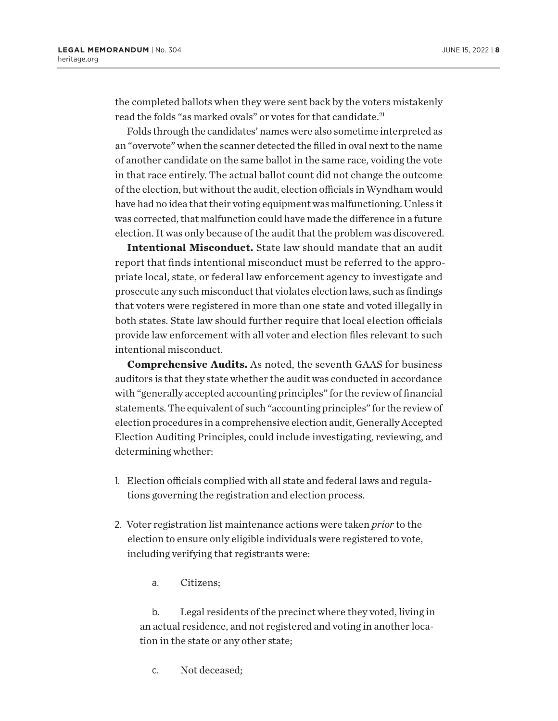<span id="page-7-0"></span>the completed ballots when they were sent back by the voters mistakenly read the folds "as marked ovals" or votes for that candidate.<sup>21</sup>

Folds through the candidates' names were also sometime interpreted as an "overvote" when the scanner detected the filled in oval next to the name of another candidate on the same ballot in the same race, voiding the vote in that race entirely. The actual ballot count did not change the outcome of the election, but without the audit, election officials in Wyndham would have had no idea that their voting equipment was malfunctioning. Unless it was corrected, that malfunction could have made the difference in a future election. It was only because of the audit that the problem was discovered.

**Intentional Misconduct.** State law should mandate that an audit report that finds intentional misconduct must be referred to the appropriate local, state, or federal law enforcement agency to investigate and prosecute any such misconduct that violates election laws, such as findings that voters were registered in more than one state and voted illegally in both states. State law should further require that local election officials provide law enforcement with all voter and election files relevant to such intentional misconduct.

**Comprehensive Audits.** As noted, the seventh GAAS for business auditors is that they state whether the audit was conducted in accordance with "generally accepted accounting principles" for the review of financial statements. The equivalent of such "accounting principles" for the review of election procedures in a comprehensive election audit, Generally Accepted Election Auditing Principles, could include investigating, reviewing, and determining whether:

- 1. Election officials complied with all state and federal laws and regulations governing the registration and election process.
- 2. Voter registration list maintenance actions were taken *prior* to the election to ensure only eligible individuals were registered to vote, including verifying that registrants were:
	- a. Citizens;

b. Legal residents of the precinct where they voted, living in an actual residence, and not registered and voting in another location in the state or any other state;

c. Not deceased;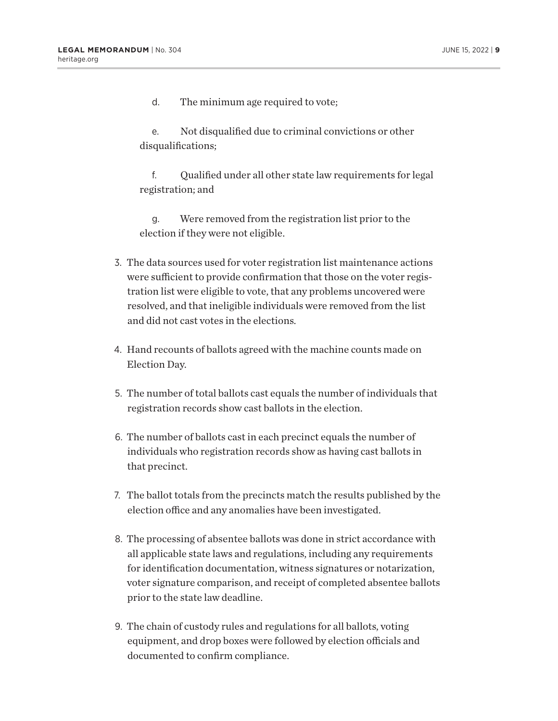d. The minimum age required to vote;

e. Not disqualified due to criminal convictions or other disqualifications;

f. Qualified under all other state law requirements for legal registration; and

g. Were removed from the registration list prior to the election if they were not eligible.

- 3. The data sources used for voter registration list maintenance actions were sufficient to provide confirmation that those on the voter registration list were eligible to vote, that any problems uncovered were resolved, and that ineligible individuals were removed from the list and did not cast votes in the elections.
- 4. Hand recounts of ballots agreed with the machine counts made on Election Day.
- 5. The number of total ballots cast equals the number of individuals that registration records show cast ballots in the election.
- 6. The number of ballots cast in each precinct equals the number of individuals who registration records show as having cast ballots in that precinct.
- 7. The ballot totals from the precincts match the results published by the election office and any anomalies have been investigated.
- 8. The processing of absentee ballots was done in strict accordance with all applicable state laws and regulations, including any requirements for identification documentation, witness signatures or notarization, voter signature comparison, and receipt of completed absentee ballots prior to the state law deadline.
- 9. The chain of custody rules and regulations for all ballots, voting equipment, and drop boxes were followed by election officials and documented to confirm compliance.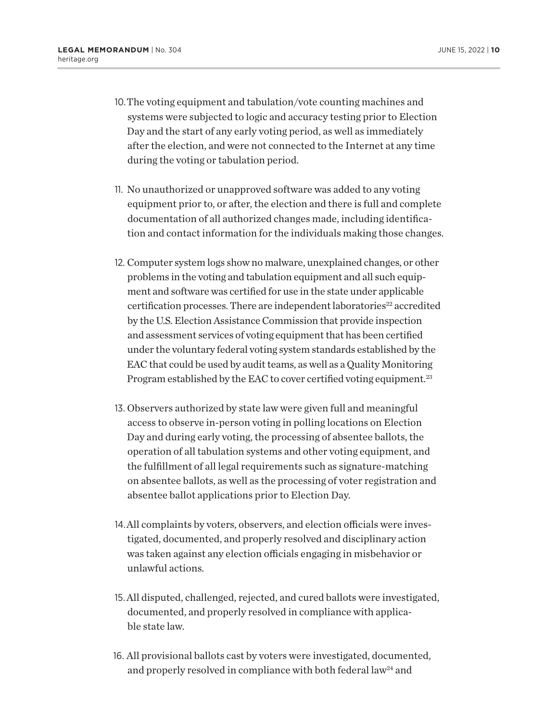- <span id="page-9-0"></span>10.The voting equipment and tabulation/vote counting machines and systems were subjected to logic and accuracy testing prior to Election Day and the start of any early voting period, as well as immediately after the election, and were not connected to the Internet at any time during the voting or tabulation period.
- 11. No unauthorized or unapproved software was added to any voting equipment prior to, or after, the election and there is full and complete documentation of all authorized changes made, including identification and contact information for the individuals making those changes.
- 12. Computer system logs show no malware, unexplained changes, or other problems in the voting and tabulation equipment and all such equipment and software was certified for use in the state under applicable certification processes. There are independent laboratories<sup>22</sup> accredited by the U.S. Election Assistance Commission that provide inspection and assessment services of voting equipment that has been certified under the voluntary federal voting system standards established by the EAC that could be used by audit teams, as well as a Quality Monitoring Program established by the EAC to cover certified voting equipment.<sup>23</sup>
- 13. Observers authorized by state law were given full and meaningful access to observe in-person voting in polling locations on Election Day and during early voting, the processing of absentee ballots, the operation of all tabulation systems and other voting equipment, and the fulfillment of all legal requirements such as signature-matching on absentee ballots, as well as the processing of voter registration and absentee ballot applications prior to Election Day.
- 14.All complaints by voters, observers, and election officials were investigated, documented, and properly resolved and disciplinary action was taken against any election officials engaging in misbehavior or unlawful actions.
- 15.All disputed, challenged, rejected, and cured ballots were investigated, documented, and properly resolved in compliance with applicable state law.
- 16. All provisional ballots cast by voters were investigated, documented, and properly resolved in compliance with both federal law<sup>24</sup> and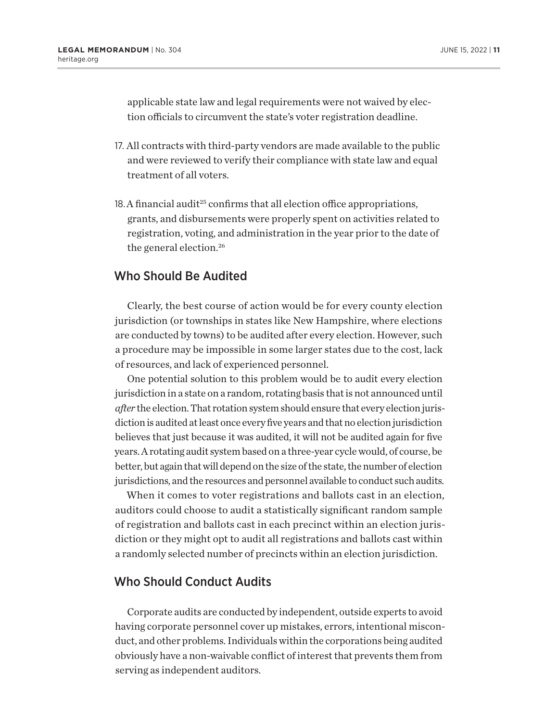<span id="page-10-0"></span>applicable state law and legal requirements were not waived by election officials to circumvent the state's voter registration deadline.

- 17. All contracts with third-party vendors are made available to the public and were reviewed to verify their compliance with state law and equal treatment of all voters.
- 18. A financial audit<sup>25</sup> confirms that all election office appropriations, grants, and disbursements were properly spent on activities related to registration, voting, and administration in the year prior to the date of the general election.[26](#page-14-0)

## Who Should Be Audited

Clearly, the best course of action would be for every county election jurisdiction (or townships in states like New Hampshire, where elections are conducted by towns) to be audited after every election. However, such a procedure may be impossible in some larger states due to the cost, lack of resources, and lack of experienced personnel.

One potential solution to this problem would be to audit every election jurisdiction in a state on a random, rotating basis that is not announced until *after* the election. That rotation system should ensure that every election jurisdiction is audited at least once every five years and that no election jurisdiction believes that just because it was audited, it will not be audited again for five years. A rotating audit system based on a three-year cycle would, of course, be better, but again that will depend on the size of the state, the number of election jurisdictions, and the resources and personnel available to conduct such audits.

When it comes to voter registrations and ballots cast in an election, auditors could choose to audit a statistically significant random sample of registration and ballots cast in each precinct within an election jurisdiction or they might opt to audit all registrations and ballots cast within a randomly selected number of precincts within an election jurisdiction.

## Who Should Conduct Audits

Corporate audits are conducted by independent, outside experts to avoid having corporate personnel cover up mistakes, errors, intentional misconduct, and other problems. Individuals within the corporations being audited obviously have a non-waivable conflict of interest that prevents them from serving as independent auditors.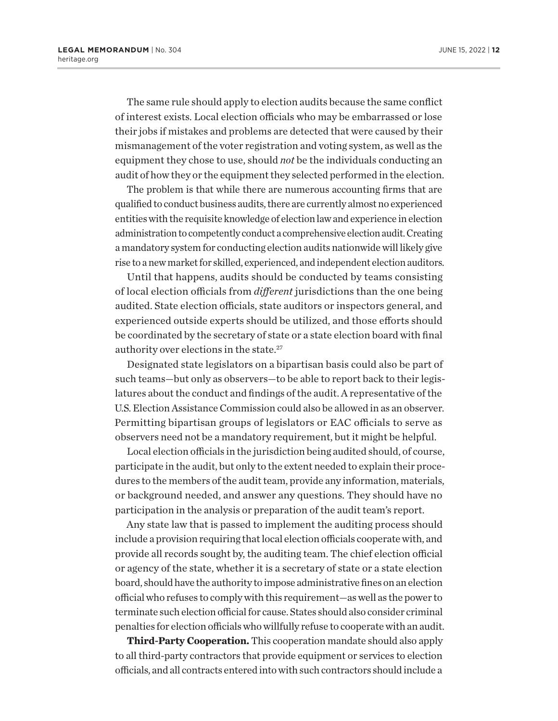<span id="page-11-0"></span>The same rule should apply to election audits because the same conflict of interest exists. Local election officials who may be embarrassed or lose their jobs if mistakes and problems are detected that were caused by their mismanagement of the voter registration and voting system, as well as the equipment they chose to use, should *not* be the individuals conducting an audit of how they or the equipment they selected performed in the election.

The problem is that while there are numerous accounting firms that are qualified to conduct business audits, there are currently almost no experienced entities with the requisite knowledge of election law and experience in election administration to competently conduct a comprehensive election audit. Creating a mandatory system for conducting election audits nationwide will likely give rise to a new market for skilled, experienced, and independent election auditors.

Until that happens, audits should be conducted by teams consisting of local election officials from *different* jurisdictions than the one being audited. State election officials, state auditors or inspectors general, and experienced outside experts should be utilized, and those efforts should be coordinated by the secretary of state or a state election board with final authority over elections in the state[.27](#page-14-0)

Designated state legislators on a bipartisan basis could also be part of such teams—but only as observers—to be able to report back to their legislatures about the conduct and findings of the audit. A representative of the U.S. Election Assistance Commission could also be allowed in as an observer. Permitting bipartisan groups of legislators or EAC officials to serve as observers need not be a mandatory requirement, but it might be helpful.

Local election officials in the jurisdiction being audited should, of course, participate in the audit, but only to the extent needed to explain their procedures to the members of the audit team, provide any information, materials, or background needed, and answer any questions. They should have no participation in the analysis or preparation of the audit team's report.

Any state law that is passed to implement the auditing process should include a provision requiring that local election officials cooperate with, and provide all records sought by, the auditing team. The chief election official or agency of the state, whether it is a secretary of state or a state election board, should have the authority to impose administrative fines on an election official who refuses to comply with this requirement—as well as the power to terminate such election official for cause. States should also consider criminal penalties for election officials who willfully refuse to cooperate with an audit.

**Third-Party Cooperation.** This cooperation mandate should also apply to all third-party contractors that provide equipment or services to election officials, and all contracts entered into with such contractors should include a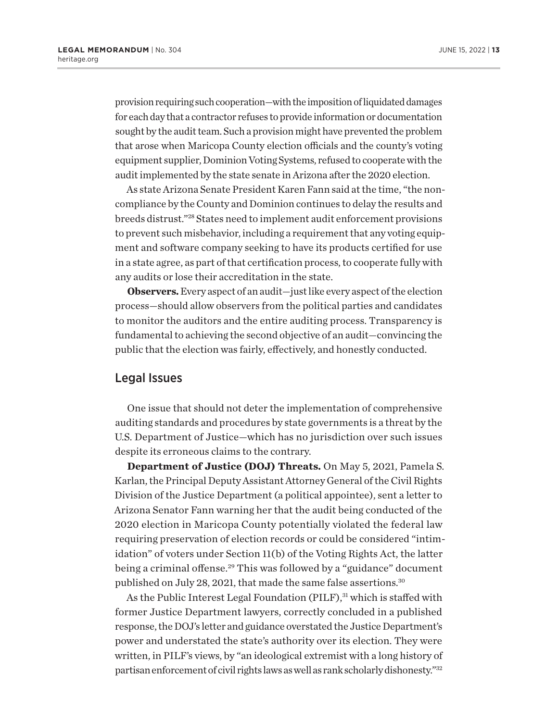<span id="page-12-0"></span>provision requiring such cooperation—with the imposition of liquidated damages for each day that a contractor refuses to provide information or documentation sought by the audit team. Such a provision might have prevented the problem that arose when Maricopa County election officials and the county's voting equipment supplier, Dominion Voting Systems, refused to cooperate with the audit implemented by the state senate in Arizona after the 2020 election.

As state Arizona Senate President Karen Fann said at the time, "the noncompliance by the County and Dominion continues to delay the results and breeds distrust.["28](#page-15-0) States need to implement audit enforcement provisions to prevent such misbehavior, including a requirement that any voting equipment and software company seeking to have its products certified for use in a state agree, as part of that certification process, to cooperate fully with any audits or lose their accreditation in the state.

**Observers.** Every aspect of an audit—just like every aspect of the election process—should allow observers from the political parties and candidates to monitor the auditors and the entire auditing process. Transparency is fundamental to achieving the second objective of an audit—convincing the public that the election was fairly, effectively, and honestly conducted.

## Legal Issues

One issue that should not deter the implementation of comprehensive auditing standards and procedures by state governments is a threat by the U.S. Department of Justice—which has no jurisdiction over such issues despite its erroneous claims to the contrary.

**Department of Justice (DOJ) Threats.** On May 5, 2021, Pamela S. Karlan, the Principal Deputy Assistant Attorney General of the Civil Rights Division of the Justice Department (a political appointee), sent a letter to Arizona Senator Fann warning her that the audit being conducted of the 2020 election in Maricopa County potentially violated the federal law requiring preservation of election records or could be considered "intimidation" of voters under Section 11(b) of the Voting Rights Act, the latter being a criminal offense.<sup>29</sup> This was followed by a "guidance" document published on July 28, 2021, that made the same false assertions.<sup>30</sup>

As the Public Interest Legal Foundation (PILF),<sup>[31](#page-15-0)</sup> which is staffed with former Justice Department lawyers, correctly concluded in a published response, the DOJ's letter and guidance overstated the Justice Department's power and understated the state's authority over its election. They were written, in PILF's views, by "an ideological extremist with a long history of partisan enforcement of civil rights laws as well as rank scholarly dishonesty."[32](#page-15-0)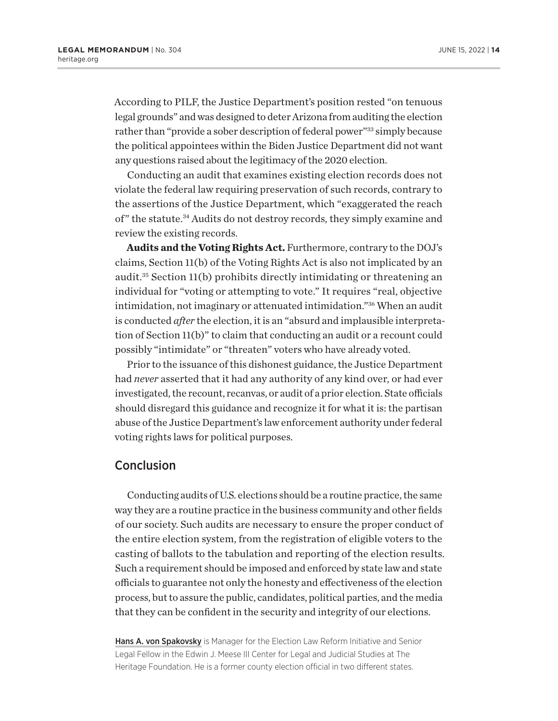<span id="page-13-0"></span>According to PILF, the Justice Department's position rested "on tenuous legal grounds" and was designed to deter Arizona from auditing the election rather than "provide a sober description of federal power"<sup>33</sup> simply because the political appointees within the Biden Justice Department did not want any questions raised about the legitimacy of the 2020 election.

Conducting an audit that examines existing election records does not violate the federal law requiring preservation of such records, contrary to the assertions of the Justice Department, which "exaggerated the reach of" the statute.<sup>34</sup> Audits do not destroy records, they simply examine and review the existing records.

**Audits and the Voting Rights Act.** Furthermore, contrary to the DOJ's claims, Section 11(b) of the Voting Rights Act is also not implicated by an audit.[35](#page-15-0) Section 11(b) prohibits directly intimidating or threatening an individual for "voting or attempting to vote." It requires "real, objective intimidation, not imaginary or attenuated intimidation.["36](#page-15-0) When an audit is conducted *after* the election, it is an "absurd and implausible interpretation of Section 11(b)" to claim that conducting an audit or a recount could possibly "intimidate" or "threaten" voters who have already voted.

Prior to the issuance of this dishonest guidance, the Justice Department had *never* asserted that it had any authority of any kind over, or had ever investigated, the recount, recanvas, or audit of a prior election. State officials should disregard this guidance and recognize it for what it is: the partisan abuse of the Justice Department's law enforcement authority under federal voting rights laws for political purposes.

## **Conclusion**

Conducting audits of U.S. elections should be a routine practice, the same way they are a routine practice in the business community and other fields of our society. Such audits are necessary to ensure the proper conduct of the entire election system, from the registration of eligible voters to the casting of ballots to the tabulation and reporting of the election results. Such a requirement should be imposed and enforced by state law and state officials to guarantee not only the honesty and effectiveness of the election process, but to assure the public, candidates, political parties, and the media that they can be confident in the security and integrity of our elections.

Hans A. von Spakovsky is Manager for the Election Law Reform Initiative and Senior Legal Fellow in the Edwin J. Meese III Center for Legal and Judicial Studies at The Heritage Foundation. He is a former county election official in two different states.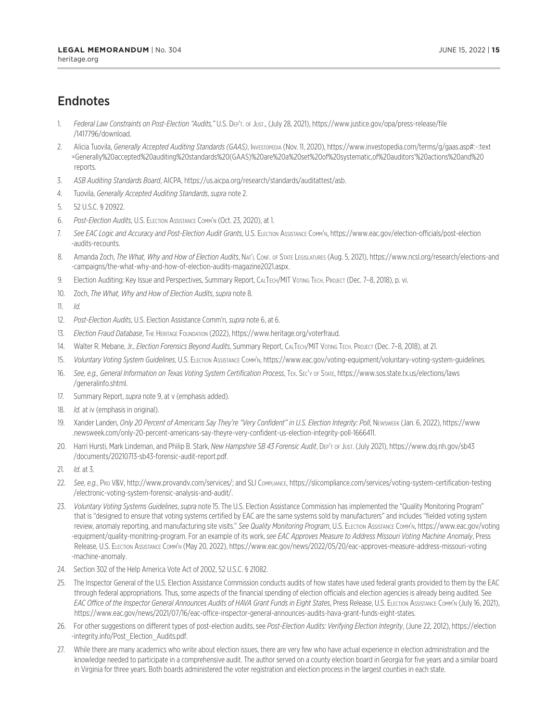# <span id="page-14-0"></span>**Endnotes**

- [1.](#page-0-0) *Federal Law Constraints on Post-Election "Audits,"* U.S. Dep't. of Just., (July 28, 2021), https://www.justice.gov/opa/press-release/file /1417796/download.
- [2.](#page-1-0) Alicia Tuovila, *Generally Accepted Auditing Standards (GAAS)*, Investopedia (Nov. 11, 2020), https://www.investopedia.com/terms/g/gaas.asp#:~:text =Generally%20accepted%20auditing%20standards%20(GAAS)%20are%20a%20set%20of%20systematic,of%20auditors'%20actions%20and%20 reports.
- [3.](#page-1-0) *ASB Auditing Standards Board*, AICPA, https://us.aicpa.org/research/standards/auditattest/asb.
- [4.](#page-2-0) Tuovila, *Generally Accepted Auditing Standards*, *supra* note 2.
- [5](#page-3-0). 52 U.S.C. § 20922.
- [6](#page-3-0). *Post-Election Audits*, U.S. Election Assistance Comm'n (Oct. 23, 2020), at 1.
- [7.](#page-3-0) *See EAC Logic and Accuracy and Post-Election Audit Grants*, U.S. Election Assistance Comm'n, https://www.eac.gov/election-officials/post-election -audits-recounts.
- [8](#page-4-0). Amanda Zoch, *The What, Why and How of Election Audits*, Nar'l Conf. of State Legislatures (Aug. 5, 2021), https://www.ncsl.org/research/elections-and -campaigns/the-what-why-and-how-of-election-audits-magazine2021.aspx.
- [9](#page-4-0). Election Auditing: Key Issue and Perspectives, Summary Report, СALТECH/МIT VOTING ТЕСН. PROJECT (Dec. 7-8, 2018), p. vi.
- [10.](#page-4-0) Zoch, *The What, Why and How of Election Audits*, *supra* note 8.

[11.](#page-4-0) *Id.*

- [12](#page-4-0). *Post-Election Audits*, U.S. Election Assistance Comm'n, *supra* note 6, at 6.
- [13](#page-4-0). *Election Fraud Database*, The Heritage Foundation (2022), https://www.heritage.org/voterfraud.
- [14.](#page-5-0) Walter R. Mebane, Jr., *Election Forensics Beyond Audits*, Summary Report, CALTECH/MIT VOTING TECH. PROJECT (Dec. 7-8, 2018), at 21.
- [15](#page-5-0). *Voluntary Voting System Guidelines*, U.S. Election Assistance Comm'n, https://www.eac.gov/voting-equipment/voluntary-voting-system-guidelines.
- [16.](#page-5-0) *See, e.g., General Information on Texas Voting System Certification Process*, Tex. Sec'y of State, https://www.sos.state.tx.us/elections/laws /generalinfo.shtml.
- [17.](#page-6-0) Summary Report, *supra* note 9, at v (emphasis added).
- [18](#page-6-0). *Id.* at iv (emphasis in original).
- [19.](#page-6-0) Xander Landen, *Only 20 Percent of Americans Say They're "Very Confident" in U.S. Election Integrity: Poll*, Newsweek (Jan. 6, 2022), https://www .newsweek.com/only-20-percent-americans-say-theyre-very-confident-us-election-integrity-poll-1666411.
- [20.](#page-6-0) Harri Hursti, Mark Lindeman, and Philip B. Stark, *New Hampshire SB 43 Forensic Audit*, Dep't of Just. (July 2021), https://www.doj.nh.gov/sb43 /documents/20210713-sb43-forensic-audit-report.pdf.
- [21.](#page-7-0) *Id*. at 3.
- [22](#page-9-0). *See, e.g.*, Pro V&V, http://www.provandv.com/services/; and SLI Compliance, https://slicompliance.com/services/voting-system-certification-testing /electronic-voting-system-forensic-analysis-and-audit/.
- [23](#page-9-0). *Voluntary Voting Systems Guidelines*, *supra* note 15. The U.S. Election Assistance Commission has implemented the "Quality Monitoring Program" that is "designed to ensure that voting systems certified by EAC are the same systems sold by manufacturers" and includes "fielded voting system review, anomaly reporting, and manufacturing site visits." *See Quality Monitoring Program*, U.S. Election Assistance Comm'n, https://www.eac.gov/voting -equipment/quality-monitring-program. For an example of its work, *see EAC Approves Measure to Address Missouri Voting Machine Anomaly*, Press Release, U.S. Election Assistance Comm'n (May 20, 2022), https://www.eac.gov/news/2022/05/20/eac-approves-measure-address-missouri-voting -machine-anomaly.
- [24.](#page-9-0) Section 302 of the Help America Vote Act of 2002, 52 U.S.C. § 21082.
- [25](#page-10-0). The Inspector General of the U.S. Election Assistance Commission conducts audits of how states have used federal grants provided to them by the EAC through federal appropriations. Thus, some aspects of the financial spending of election officials and election agencies is already being audited. See EAC Office of the Inspector General Announces Audits of HAVA Grant Funds in Eight States, Press Release, U.S. ELECTION ASSISTANCE COMM'N (July 16, 2021), https://www.eac.gov/news/2021/07/16/eac-office-inspector-general-announces-audits-hava-grant-funds-eight-states.
- [26.](#page-10-0) For other suggestions on different types of post-election audits, see *Post-Election Audits: Verifying Election Integrity*, (June 22, 2012), https://election -integrity.info/Post\_Election\_Audits.pdf.
- [27.](#page-11-0) While there are many academics who write about election issues, there are very few who have actual experience in election administration and the knowledge needed to participate in a comprehensive audit. The author served on a county election board in Georgia for five years and a similar board in Virginia for three years. Both boards administered the voter registration and election process in the largest counties in each state.